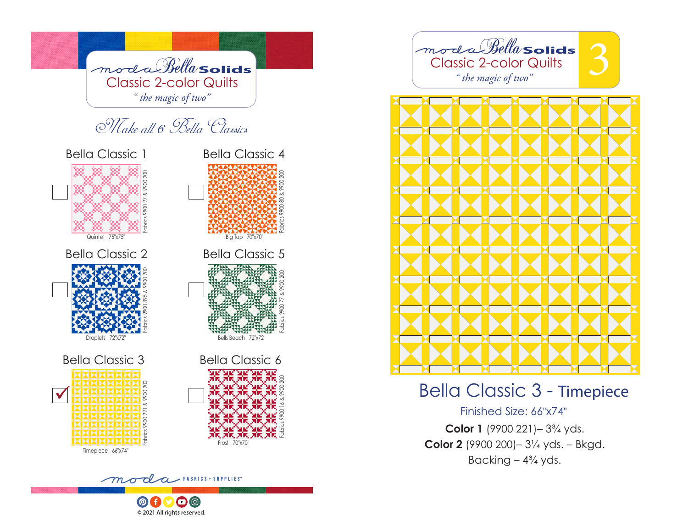

© 2021 All rights reserved.



# Bella Classic 3 - Timepiece

Finished Size: 66"x74"

**Color 1** (9900 221)– 3¾ yds. **Color 2** (9900 200)– 3¼ yds. – Bkgd. Backing  $-4\frac{3}{4}$  yds.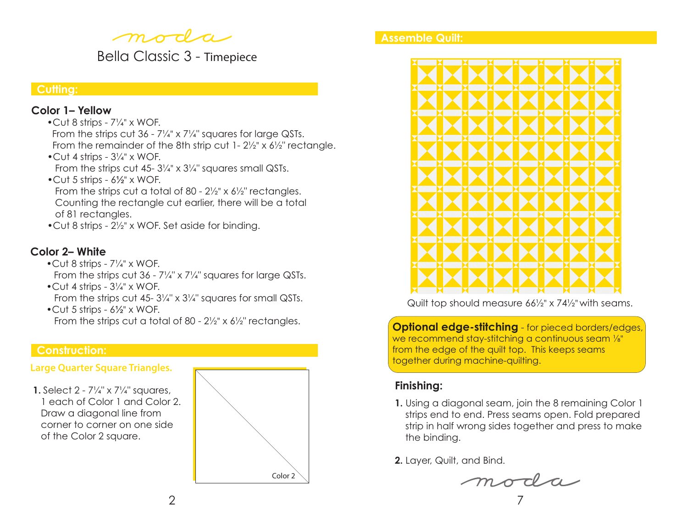moda

Bella Classic 3 - Timepiece

### **Cutting:**

### **Color 1– Yellow**

- •Cut 8 strips 7¼" x WOF.
- From the strips cut 36 7¼" x 7¼" squares for large QSTs. From the remainder of the 8th strip cut 1- 2½" x 6½" rectangle.
- •Cut 4 strips 3¼" x WOF. From the strips cut 45- 31/4" x 31/4" squares small QSTs.
- •Cut 5 strips 6½" x WOF. From the strips cut a total of 80 - 2½" x 6½" rectangles. Counting the rectangle cut earlier, there will be a total of 81 rectangles.
- •Cut 8 strips 2½" x WOF. Set aside for binding.

# **Color 2– White**

- Cut 8 strips  $7\frac{1}{4}$ " x WOF. From the strips cut 36 - 7¼" x 7¼" squares for large QSTs.
- $\bullet$  Cut 4 strips  $3\frac{1}{4}$ " x WOF. From the strips cut 45- 31/4" x 31/4" squares for small QSTs.
- •Cut 5 strips 6½" x WOF. From the strips cut a total of 80 - 2½" x 6½" rectangles.

# **Construction:**

# **Large Quarter Square Triangles.**

 **1.** Select 2 - 7¼" x 7¼" squares, 1 each of Color 1 and Color 2. Draw a diagonal line from corner to corner on one side of the Color 2 square.



### **Assemble Quilt:**



Quilt top should measure 66½" x 74½" with seams.

**Optional edge-stitching** - for pieced borders/edges, we recommend stay-stitching a continuous seam ⅛" from the edge of the quilt top. This keeps seams together during machine-quilting.

# **Finishing:**

**1.** Using a diagonal seam, join the 8 remaining Color 1 strips end to end. Press seams open. Fold prepared strip in half wrong sides together and press to make the binding.

**2.** Layer, Quilt, and Bind.

moda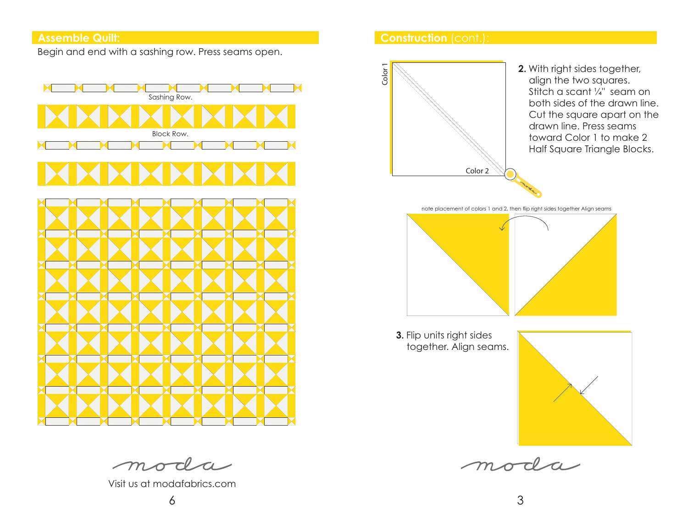Begin and end with a sashing row. Press seams open.



# **Construction** (cont.): **Assemble Quilt:**





 **3.** Flip units right sides together. Align seams.



moda

moda

Visit us at modafabrics.com